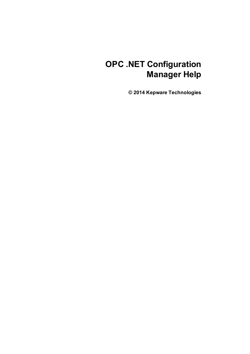# **OPC .NET Configuration Manager Help**

**© 2014 Kepware Technologies**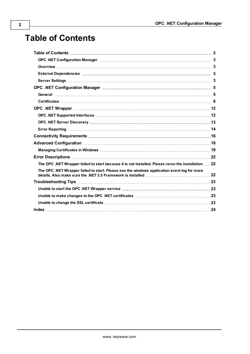# <span id="page-1-0"></span>**Table of Contents**

| The OPC .NET Wrapper failed to start because it is not installed. Please rerun the installation  22 |  |
|-----------------------------------------------------------------------------------------------------|--|
| The OPC .NET Wrapper failed to start. Please see the windows application event log for more         |  |
|                                                                                                     |  |
|                                                                                                     |  |
|                                                                                                     |  |
|                                                                                                     |  |
|                                                                                                     |  |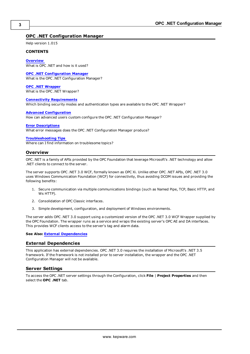# <span id="page-2-0"></span>**OPC .NET Configuration Manager**

Help version 1.015

#### **CONTENTS**

#### **[Overview](#page-2-1)**

What is OPC .NET and how is it used?

#### **OPC .NET [Configuration](#page-4-0) Manager** What is the OPC .NET Configuration Manager?

**OPC .NET [Wrapper](#page-11-0)**

What is the OPC .NET Wrapper?

#### **Connectivity [Requirements](#page-15-0)**

Which binding security modes and authentication types are available to the OPC .NET Wrapper?

#### **Advanced [Configuration](#page-17-0)**

How can advanced users custom configure the OPC .NET Configuration Manager?

#### **Error [Descriptions](#page-21-0)**

What error messages does the OPC .NET Configuration Manager produce?

#### **[Troubleshooting](#page-22-0) Tips**

<span id="page-2-1"></span>Where can I find information on troublesome topics?

#### **Overview**

OPC .NET is a family of APIs provided by the OPC Foundation that leverage Microsoft's .NET technology and allow .NET clients to connect to the server.

The server supports OPC .NET 3.0 WCF, formally known as OPC Xi. Unlike other OPC .NET APIs, OPC .NET 3.0 uses Windows Communication Foundation (WCF) for connectivity, thus avoiding DCOM issues and providing the following benefits:

- 1. Secure communication via multiple communications bindings (such as Named Pipe, TCP, Basic HTTP, and Ws HTTP).
- 2. Consolidation of OPC Classic interfaces.
- 3. Simple development, configuration, and deployment of Windows environments.

The server adds OPC .NET 3.0 support using a customized version of the OPC .NET 3.0 WCF Wrapper supplied by the OPC Foundation. The wrapper runs as a service and wraps the existing server's OPC AE and DA interfaces. This provides WCF clients access to the server's tag and alarm data.

#### <span id="page-2-2"></span>**See Also: External [Dependencies](#page-2-2)**

#### **External Dependencies**

This application has external dependencies. OPC .NET 3.0 requires the installation of Microsoft's .NET 3.5 framework. If the framework is not installed prior to server installation, the wrapper and the OPC .NET Configuration Manager will not be available.

#### <span id="page-2-3"></span>**Server Settings**

To access the OPC .NET server settings through the Configuration, click **File** | **Project Properties** and then select the **OPC .NET** tab.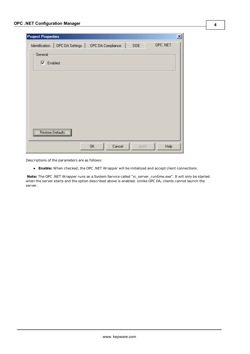| <b>Project Properties</b>           |    |                   |            |         | $\mathbf{x}$ |
|-------------------------------------|----|-------------------|------------|---------|--------------|
| OPC DA Settings  <br>Identification |    | OPC DA Compliance | <b>DDE</b> | OPC.NET |              |
| General                             |    |                   |            |         |              |
| $\nabla$ Enabled                    |    |                   |            |         |              |
|                                     |    |                   |            |         |              |
|                                     |    |                   |            |         |              |
|                                     |    |                   |            |         |              |
|                                     |    |                   |            |         |              |
|                                     |    |                   |            |         |              |
|                                     |    |                   |            |         |              |
| Restore Defaults                    |    |                   |            |         |              |
|                                     | 0K | Cancel            | Apply      | Help    |              |

Descriptions of the parameters are as follows:

**Enable:** When checked, the OPC .NET Wrapper will be initialized and accept client connections.

**Note:** The OPC .NET Wrapper runs as a System Service called "xi\_server\_runtime.exe". It will only be started when the server starts and the option described above is enabled. Unlike OPC DA, clients cannot launch the server.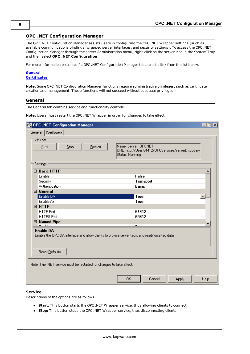# <span id="page-4-0"></span>**OPC .NET Configuration Manager**

The OPC .NET Configuration Manager assists users in configuring the OPC .NET Wrapper settings (such as available communications bindings, wrapped server interfaces, and security settings). To access the OPC .NET Configuration Manager through the server Administration menu, right-click on the server icon in the System Tray and then select **OPC .NET Configuration**.

For more information on a specific OPC .NET Configuration Manager tab, select a link from the list below.

### **[General](#page-4-1) [Certificates](#page-7-0)**

**Note:** Some OPC .NET Configuration Manager functions require administrative privileges, such as certificate creation and management. These functions will not succeed without adequate privileges.

#### <span id="page-4-1"></span>**General**

The General tab contains service and functionality controls.

**Note:** Users must restart the OPC .NET Wrapper in order for changes to take effect.

| OPC .NET Configuration Manager                                                                                                      | <u>_ 미지</u>                                                                                         |
|-------------------------------------------------------------------------------------------------------------------------------------|-----------------------------------------------------------------------------------------------------|
| General   Certificates                                                                                                              |                                                                                                     |
| Service                                                                                                                             |                                                                                                     |
| $^{Stop}$<br>Start<br>Restart                                                                                                       | Name: Server_OPCNET<br>URL: http://User:64412/OPCServices/serverDiscovery<br><b>Status: Running</b> |
| Settings                                                                                                                            |                                                                                                     |
| □ Basic HTTP                                                                                                                        |                                                                                                     |
| Enable                                                                                                                              | False                                                                                               |
| Security                                                                                                                            | Transport                                                                                           |
| Authentication                                                                                                                      | <b>Basic</b>                                                                                        |
| $\boxminus$ General                                                                                                                 |                                                                                                     |
| Enable DA                                                                                                                           | <b>True</b>                                                                                         |
| Enable AE<br>$\boxminus$ HTTP                                                                                                       | <b>True</b>                                                                                         |
| <b>HTTP Port</b>                                                                                                                    | 64412                                                                                               |
| <b>HTTPS Port</b>                                                                                                                   | 65412                                                                                               |
| $\boxminus$ Named Pipe                                                                                                              |                                                                                                     |
| $-11$                                                                                                                               | $\overline{\phantom{a}}$<br>$\mathbf{r}$                                                            |
| <b>Enable DA</b><br>Enable the OPC DA interface and allow clients to browse server tags, and read/write tag data.<br>Reset Defaults |                                                                                                     |
| Note: The .NET service must be restarted for changes to take effect.                                                                |                                                                                                     |
|                                                                                                                                     |                                                                                                     |

#### **Service**

Descriptions of the options are as follows:

- **Start:** This button starts the OPC .NET Wrapper service, thus allowing clients to connect.
- **Stop:** This button stops the OPC .NET Wrapper service, thus disconnecting clients.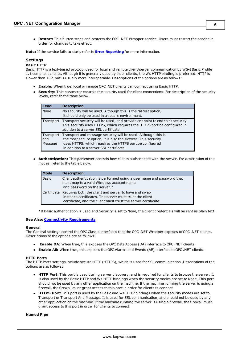**Restart:** This button stops and restarts the OPC .NET Wrapper service. Users must restart the service in order for changes to take effect.

**Note:** If the service fails to start, refer to **Error [Reporting](#page-13-0)** for more information.

# **Settings**

#### **Basic HTTP**

Basic HTTP is a text-based protocol used for local and remote client/server communication by WS-I Basic Profile 1.1 compliant clients. Although it is generally used by older clients, the Ws HTTP binding is preferred. HTTP is slower than TCP, but is usually more interoperable. Descriptions of the options are as follows:

- **Enable:** When true, local or remote OPC .NET clients can connect using Basic HTTP.
- **Security:** This parameter controls the security used for client connections. For description of the security levels, refer to the table below.

| Level                         | <b>Description</b>                                                                                                                                                                                                                    |
|-------------------------------|---------------------------------------------------------------------------------------------------------------------------------------------------------------------------------------------------------------------------------------|
| None                          | No security will be used. Although this is the fastest option,<br>it should only be used in a secure environment.                                                                                                                     |
|                               | Transport Transport security will be used, and provide endpoint to endpoint security.<br>This security uses HTTPS, which requires the HTTPS port be configured in<br>addition to a server SSL certificate.                            |
| Transport  <br>and<br>Message | Transport and message security will be used. Although this is<br>the most secure option, it is also the slowest. This security<br>uses HTTPS, which requires the HTTPS port be configured<br>in addition to a server SSL certificate. |

l **Authentication:** This parameter controls how clients authenticate with the server. For description of the modes, refer to the table below.

| <b>Mode</b>  | <b>Description</b>                                                                                                                                                                              |
|--------------|-------------------------------------------------------------------------------------------------------------------------------------------------------------------------------------------------|
| <b>Basic</b> | Client authentication is performed using a user name and password that<br>must map to a valid Windows account name<br>and password on the server.*                                              |
|              | Certificate   Requires both the client and server to have and swap<br>instance certificates. The server must trust the client<br>certificate, and the client must trust the server certificate. |

\*If Basic authentication is used and Security is set to None, the client credentials will be sent as plain text.

#### **See Also: Connectivity [Requirements](#page-15-0)**

#### **General**

The General settings control the OPC Classic interfaces that the OPC .NET Wrapper exposes to OPC .NET clients. Descriptions of the options are as follows:

- **Enable DA:** When true, this exposes the OPC Data Access (DA) interface to OPC .NET clients.
- **Enable AE:** When true, this exposes the OPC Alarms and Events (AE) interface to OPC .NET clients.

#### **HTTP Ports**

The HTTP Ports settings include secure HTTP (HTTPS), which is used for SSL communication. Descriptions of the options are as follows:

- **HTTP Port:** This port is used during server discovery, and is required for clients to browse the server. It is also used by the Basic HTTP and Ws HTTP bindings when the security modes are set to None. This port should not be used by any other application on the machine. If the machine running the server is using a firewall, the firewall must grant access to this port in order for clients to connect.
- **HTTPS Port:** This port is used by the Basic and Ws HTTP bindings when the security modes are set to Transport or Transport And Message. It is used for SSL communication, and should not be used by any other application on the machine. If the machine running the server is using a firewall, the firewall must grant access to this port in order for clients to connect.

### **Named Pipe**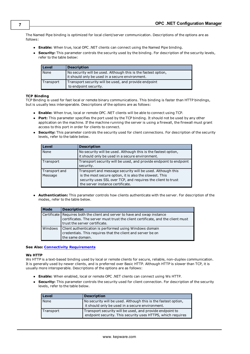The Named Pipe binding is optimized for local client/server communication. Descriptions of the options are as follows:

- **Enable:** When true, local OPC .NET clients can connect using the Named Pipe binding.
- **Security:** This parameter controls the security used by the binding. For description of the security levels, refer to the table below:

| Level     | <b>Description</b>                                                                                                |
|-----------|-------------------------------------------------------------------------------------------------------------------|
| None      | No security will be used. Although this is the fastest option,<br>it should only be used in a secure environment. |
| Transport | Transport security will be used, and provide endpoint<br>to endpoint security.                                    |

#### **TCP Binding**

TCP Binding is used for fast local or remote binary communications. This binding is faster than HTTP bindings, but is usually less interoperable. Descriptions of the options are as follows:

- **Enable:** When true, local or remote OPC .NET clients will be able to connect using TCP.
- **Port:** This parameter specifies the port used by the TCP binding. It should not be used by any other application on the machine. If the machine running the server is using a firewall, the firewall must grant access to this port in order for clients to connect.
- **Security:** This parameter controls the security used for client connections. For description of the security levels, refer to the table below.

| Level                    | <b>Description</b>                                                                                                                                                                                                        |
|--------------------------|---------------------------------------------------------------------------------------------------------------------------------------------------------------------------------------------------------------------------|
| None                     | No security will be used. Although this is the fastest option,<br>it should only be used in a secure environment.                                                                                                         |
| Transport                | Transport security will be used, and provide endpoint to endpoint<br>security.                                                                                                                                            |
| Transport and<br>Message | Transport and message security will be used. Although this<br>is the most secure option, it is also the slowest. This<br>security uses SSL over TCP, and requires the client to trust<br>the server instance certificate. |

l **Authentication:** This parameter controls how clients authenticate with the server. For description of the modes, refer to the table below.

| <b>Mode</b> | <b>Description</b>                                                                                                                                                                              |
|-------------|-------------------------------------------------------------------------------------------------------------------------------------------------------------------------------------------------|
|             | Certificate   Requires both the client and server to have and swap instance<br>certificates. The server must trust the client certificate, and the client must<br>trust the server certificate. |
| Windows     | Client authentication is performed using Windows domain<br>credentials. This requires that the client and server be on<br>the same domain.                                                      |

#### **See Also: Connectivity [Requirements](#page-15-0)**

#### **Ws HTTP**

Ws HTTP is a text-based binding used by local or remote clients for secure, reliable, non-duplex communication. It is generally used by newer clients, and is preferred over Basic HTTP. Although HTTP is slower than TCP, it is usually more interoperable. Descriptions of the options are as follows:

- **Enable:** When enabled, local or remote OPC .NET clients can connect using Ws HTTP.
- **Security:** This parameter controls the security used for client connection. For description of the security levels, refer to the table below.

| Level     | <b>Description</b>                                                                                                      |
|-----------|-------------------------------------------------------------------------------------------------------------------------|
| None      | No security will be used. Although this is the fastest option,<br>it should only be used in a secure environment.       |
| Transport | Transport security will be used, and provide endpoint to<br>endpoint security. This security uses HTTPS, which requires |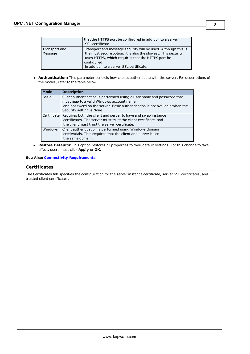|                          | that the HTTPS port be configured in addition to a server<br>SSL certificate.                                                                                                                                                                 |  |  |
|--------------------------|-----------------------------------------------------------------------------------------------------------------------------------------------------------------------------------------------------------------------------------------------|--|--|
| Transport and<br>Message | Transport and message security will be used. Although this is<br>the most secure option, it is also the slowest. This security<br>uses HTTPS, which requires that the HTTPS port be<br>configured<br>in addition to a server SSL certificate. |  |  |

**Authentication:** This parameter controls how clients authenticate with the server. For descriptions of the modes, refer to the table below.

| Mode         | <b>Description</b>                                                                                                                                                                                                            |
|--------------|-------------------------------------------------------------------------------------------------------------------------------------------------------------------------------------------------------------------------------|
| <b>Basic</b> | Client authentication is performed using a user name and password that<br>must map to a valid Windows account name<br>and password on the server. Basic authentication is not available when the<br>Security setting is None. |
|              | Certificate Requires both the client and server to have and swap instance<br>certificates. The server must trust the client certificate, and<br>the client must trust the server certificate.                                 |
| Windows      | Client authentication is performed using Windows domain<br>credentials. This requires that the client and server be on<br>the same domain.                                                                                    |

**Restore Defaults:** This option restores all properties to their default settings. For this change to take effect, users must click **Apply** or **OK**.

## <span id="page-7-0"></span>**See Also: Connectivity [Requirements](#page-15-0)**

# **Certificates**

The Certificates tab specifies the configuration for the server instance certificate, server SSL certificates, and trusted client certificates.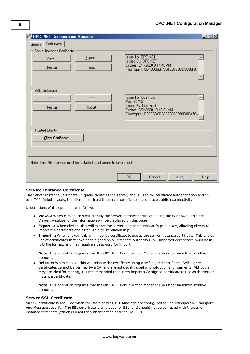| OPC .NET Configuration Manager                                       |        |                                                | $-1$ |
|----------------------------------------------------------------------|--------|------------------------------------------------|------|
| General Certificates                                                 |        |                                                |      |
| Server Instance Certificate                                          |        |                                                |      |
| View                                                                 | Export | <b>Issue To: OPC NET</b><br>Issued By: OPC NET |      |
| Reissue                                                              | Import | Expires: 9/1/2020 8:14:48 AM                   |      |
|                                                                      |        | Thumbprint: 0BF0866EF7761E07E8BD9680FB         |      |
|                                                                      |        |                                                |      |
| <b>SSL</b> Certificate                                               |        |                                                |      |
| View                                                                 | Export | <b>Issue To: localhost</b>                     |      |
|                                                                      |        | Port: 65412<br><b>Issued By: localhost</b>     |      |
| Reissue                                                              | Import | Expires: 9/2/2020 10:42:21 AM                  |      |
|                                                                      |        | Thumbprint: B9EFCD0D68B799C8D80B8CA76          |      |
|                                                                      |        |                                                |      |
| <b>Trusted Clients</b>                                               |        |                                                |      |
| Client Certificates                                                  |        |                                                |      |
|                                                                      |        |                                                |      |
|                                                                      |        |                                                |      |
| Note: The .NET service must be restarted for changes to take effect. |        |                                                |      |
|                                                                      |        |                                                |      |
|                                                                      |        | 0K<br>Cancel<br>Apply                          | Help |

## **Service Instance Certificate**

The Server Instance Certificate uniquely identifies the server, and is used for certificate authentication and SSL over TCP. In both cases, the client must trust the server certificate in order to establish connectivity.

Descriptions of the options are as follows:

- **· View...:** When clicked, this will display the server instance certificate using the Windows Certificate Viewer. A subset of the information will be displayed on this page.
- **Export...:** When clicked, this will export the server instance certificate's public key, allowing clients to import the certificate and establish a trust relationship.
- l **Import…:** When clicked, this will import a certificate to use as the server instance certificate. This allows use of certificates that have been signed by a Certificate Authority (CA). Imported certificates must be in .pfx file format, and may require a password for import.

**Note:** This operation requires that the OPC .NET Configuration Manager run under an administrative account.

**Reissue:** When clicked, this will reissue the certificate using a self-signed certificate. Self-signed certificates cannot be verified by a CA, and are not usually used in production environments. Although they are ideal for testing, it is recommended that users import a CA signed certificate to use as the server instance certificate.

**Note:** This operation requires that the OPC .NET Configuration Manager run under an administrative account.

#### **Server SSL Certificate**

An SSL certificate is required when the Basic or Ws HTTP bindings are configured to use Transport or Transport And Message security. The SSL certificate is only used for SSL, and should not be confused with the server instance certificate (which is used for authentication and secure TCP).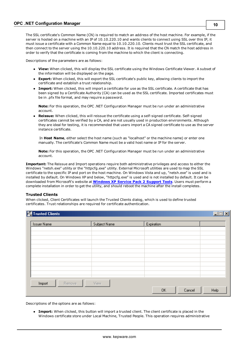The SSL certificate's Common Name (CN) is required to match an address of the host machine. For example, if the server is hosted on a machine with an IP of 10.10.220.10 and wants clients to connect using SSL over this IP, it must issue a certificate with a Common Name equal to 10.10.220.10. Clients must trust the SSL certificate, and then connect to the server using the 10.10.220.10 address. It is required that the CN match the host address in order to verify that the certificate is coming from the machine to which the client is connecting.

Descriptions of the parameters are as follows:

- **View:** When clicked, this will display the SSL certificate using the Windows Certificate Viewer. A subset of the information will be displayed on the page.
- **Export:** When clicked, this will export the SSL certificate's public key, allowing clients to import the certificate and establish a trust relationship.
- **Import:** When clicked, this will import a certificate for use as the SSL certificate. A certificate that has been signed by a Certificate Authority (CA) can be used as the SSL certificate. Imported certificates must be in .pfx file format, and may require a password.

**Note:** For this operation, the OPC .NET Configuration Manager must be run under an administrative account.

l **Reissue:** When clicked, this will reissue the certificate using a self-signed certificate. Self-signed certificates cannot be verified by a CA, and are not usually used in production environments. Although they are ideal for testing, it is recommended that users import a CA signed certificate to use as the server instance certificate.

In **Host Name**, either select the host name (such as "localhost" or the machine name) or enter one manually. The certificate's Common Name must be a valid host name or IP for the server.

**Note:** For this operation, the OPC .NET Configuration Manager must be run under an administrative account.

**Important:** The Reissue and Import operations require both administrative privileges and access to either the Windows "netsh.exe" utility or the "httpcfg.exe" utility. External Microsoft utilities are used to map the SSL certificate to the specific IP and port on the host machine. On Windows Vista and up, "netsh.exe" is used and is installed by default. On Windows XP and below, "httpcfg.exe" is used and is not installed by default. It can be downloaded from Microsoft's website at **[Windows](http://www.microsoft.com/downloads/details.aspx?familyid=49AE8576-9BB9-4126-9761-BA8011FABF38&displaylang=en) XP Service Pack 2 Support Tools**. Users must perform a complete installation in order to get the utility, and should reboot the machine after the install completes.

## **Trusted Clients**

When clicked, Client Certificates will launch the Trusted Clients dialog, which is used to define trusted certificates. Trust relationships are required for certificate authentication.

| <b>Trusted Clients</b> |              |              | $\overline{\Box}$ |
|------------------------|--------------|--------------|-------------------|
| <b>Issuer Name</b>     | Subject Name | Expiration   |                   |
|                        |              |              |                   |
|                        |              |              |                   |
|                        |              |              |                   |
|                        |              |              |                   |
|                        |              |              |                   |
|                        |              |              |                   |
|                        |              |              |                   |
|                        |              |              |                   |
| Remove<br>Import       | View         |              |                   |
|                        |              | OK<br>Cancel | Help              |

Descriptions of the options are as follows:

**Import:** When clicked, this button will import a trusted client. The client certificate is placed in the Windows certificate store under Local Machine, Trusted People. This operation requires administrative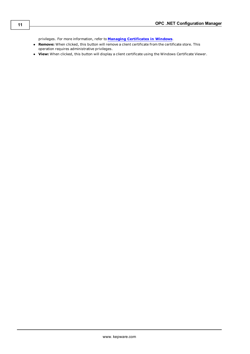privileges. For more information, refer to **Managing [Certificates](#page-18-0) in Windows**.

- **Remove:** When clicked, this button will remove a client certificate from the certificate store. This operation requires administrative privileges.
- **View:** When clicked, this button will display a client certificate using the Windows Certificate Viewer.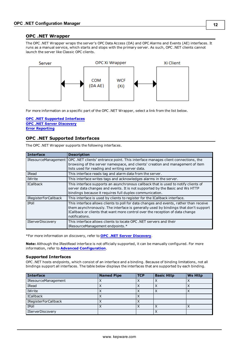# <span id="page-11-0"></span>**OPC .NET Wrapper**

The OPC .NET Wrapper wraps the server's OPC Data Access (DA) and OPC Alarms and Events (AE) interfaces. It runs as a manual service, which starts and stops with the primary server. As such, OPC .NET clients cannot launch the server like Classic OPC clients.



For more information on a specific part of the OPC .NET Wrapper, select a link from the list below.

#### **OPC .NET Supported [Interfaces](#page-11-1) OPC .NET Server [Discovery](#page-12-0) Error [Reporting](#page-13-0)**

# <span id="page-11-1"></span>**OPC .NET Supported Interfaces**

The OPC .NET Wrapper supports the following interfaces.

| Interface                   | <b>Description</b>                                                                                                                                                                                                                                                               |
|-----------------------------|----------------------------------------------------------------------------------------------------------------------------------------------------------------------------------------------------------------------------------------------------------------------------------|
| IResourceManagement         | OPC. NET clients' entrance point. This interface manages client connections, the<br>browsing of the server namespace, and clients' creation and management of item<br>lists used for reading and writing server data.                                                            |
| IRead                       | This interface reads tag and alarm data from the server.                                                                                                                                                                                                                         |
| IWrite                      | This interface writes tags and acknowledges alarms in the server.                                                                                                                                                                                                                |
| <b>ICallback</b>            | This interface supports an asynchronous callback that is used to notify clients of<br>server data changes and events. It is not supported by the Basic and Ws HTTP<br>bindings because it requires full duplex communication.                                                    |
| <b>IRegisterForCallback</b> | This interface is used by clients to register for the ICallback interface.                                                                                                                                                                                                       |
| <b>IPoll</b>                | This interface allows clients to poll for data changes and events, rather than receive<br>them asynchronously. The interface is generally used by bindings that don't support<br>ICallback or clients that want more control over the reception of data change<br>notifications. |
| <b>IServerDiscovery</b>     | This interface allows clients to locate OPC, NET servers and their<br>IResourceManagement endpoints.*                                                                                                                                                                            |

\*For more information on discovery, refer to **OPC .NET Server [Discovery](#page-12-0)**.

**Note:** Although the IRestRead interface is not officially supported, it can be manually configured. For more information, refer to **Advanced [Configuration](#page-17-0)**.

#### **Supported Interfaces**

OPC .NET hosts endpoints, which consist of an interface and a binding. Because of binding limitations, not all bindings support all interfaces. The table below displays the interfaces that are supported by each binding.

| Interface                   | <b>Named Pipe</b> | <b>TCP</b> | <b>Basic Http</b> | <b>Ws Http</b> |
|-----------------------------|-------------------|------------|-------------------|----------------|
| <b>IResourceManagement</b>  |                   |            |                   |                |
| IRead                       |                   |            |                   |                |
| IWrite                      |                   |            |                   |                |
| ICallback                   |                   |            |                   |                |
| <b>IRegisterForCallback</b> |                   |            |                   |                |
| <b>IPoll</b>                |                   |            | ∧                 |                |
| IServerDiscovery            |                   |            | ⋏                 |                |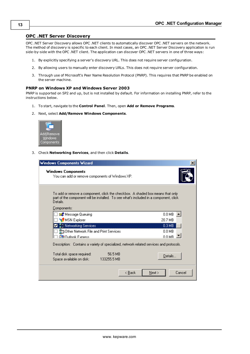# <span id="page-12-0"></span>**OPC .NET Server Discovery**

OPC .NET Server Discovery allows OPC .NET clients to automatically discover OPC .NET servers on the network. The method of discovery is specific to each client. In most cases, an OPC .NET Server Discovery application is run side-by-side with the OPC .NET client. The application can discover OPC .NET servers in one of three ways:

- 1. By explicitly specifying a server's discovery URL. This does not require server configuration.
- 2. By allowing users to manually enter discovery URLs. This does not require server configuration.
- 3. Through use of Microsoft's Peer Name Resolution Protocol (PNRP). This requires that PNRP be enabled on the server machine.

#### **PNRP on Windows XP and Windows Server 2003**

PNRP is supported on SP2 and up, but is not installed by default. For information on installing PNRP, refer to the instructions below.

- 1. To start, navigate to the **Control Panel**. Then, open **Add or Remove Programs**.
- 2. Next, select **Add/Remove Windows Components**.



3. Check **Networking Services**, and then click **Details**.

| <b>Windows Components Wizard</b>                                                                                                                                                                   | ×                |
|----------------------------------------------------------------------------------------------------------------------------------------------------------------------------------------------------|------------------|
| Windows Components<br>You can add or remove components of Windows XP.                                                                                                                              |                  |
| To add or remove a component, click the checkbox. A shaded box means that only $\overline{ }$<br>part of the component will be installed. To see what's included in a component, click<br>Details. |                  |
| Components:                                                                                                                                                                                        |                  |
| ⊠≹ Message Queuing                                                                                                                                                                                 | $0.0 M$ B        |
| MSN Explorer                                                                                                                                                                                       | 20.7 MB          |
| ■ 壹 ] Networking Services                                                                                                                                                                          | 0.3 MB           |
| 불법 Other Network File and Print Services                                                                                                                                                           | $0.0$ MB         |
| <b>虚勤 Outlook Express</b>                                                                                                                                                                          | 0.0 MB           |
| Description: Contains a variety of specialized, network-related services and protocols.                                                                                                            |                  |
| 56.5 MB<br>Total disk space required: T                                                                                                                                                            | Details          |
| 133255.5 MB<br>Space available on disk: --                                                                                                                                                         |                  |
| < Back                                                                                                                                                                                             | Cancel<br>Next > |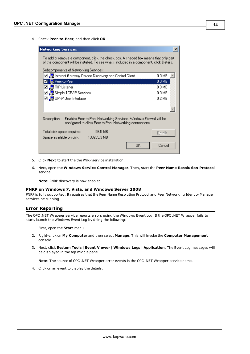4. Check **Peer-to-Peer**, and then click **OK**.

| <b>Networking Services</b>                                                                                                                                                        |  |
|-----------------------------------------------------------------------------------------------------------------------------------------------------------------------------------|--|
| To add or remove a component, click the check box. A shaded box means that only part<br>of the component will be installed. To see what's included in a component, click Details. |  |
| Subcomponents of Networking Services:                                                                                                                                             |  |
| ☑ _ Linternet Gateway Device Discovery and Control Client<br>0.0 MB                                                                                                               |  |
| 0.0 MB<br>L Peer-to-Peer                                                                                                                                                          |  |
| ☑ 4 RIP Listener<br>$0.0 M$ B                                                                                                                                                     |  |
| ☑ ↓ Simple TCP/IP Services<br>$0.0 M$ B                                                                                                                                           |  |
| ☑ ■UPnP User Interface<br>0.2 MB                                                                                                                                                  |  |
| Description:<br>Enables Peer-to-Peer Networking Services. Windows Firewall will be                                                                                                |  |
| configured to allow Peer-to-Peer Networking connections.                                                                                                                          |  |
| 56.5 MB<br>Total disk space required:<br>Details                                                                                                                                  |  |
| 133255.3 MB<br>Space available on disk:                                                                                                                                           |  |
| ΟK<br>Cancel                                                                                                                                                                      |  |

- 5. Click **Next** to start the the PNRP service installation.
- 6. Next, open the **Windows Service Control Manager**. Then, start the **Peer Name Resolution Protocol** service.

**Note:** PNRP discovery is now enabled.

#### **PNRP on Windows 7, Vista, and Windows Server 2008**

PNRP is fully supported. It requires that the Peer Name Resolution Protocol and Peer Networking Identity Manager services be running.

#### <span id="page-13-0"></span>**Error Reporting**

The OPC .NET Wrapper service reports errors using the Windows Event Log. If the OPC .NET Wrapper fails to start, launch the Windows Event Log by doing the following:

- 1. First, open the **Start** menu.
- 2. Right-click on **My Computer** and then select **Manage**. This will invoke the **Computer Management** console.
- 3. Next, click **System Tools** | **Event Viewer** | **Windows Logs** | **Application**. The Event Log messages will be displayed in the top middle pane.

**Note:** The source of OPC .NET Wrapper error events is the OPC .NET Wrapper service name.

4. Click on an event to display the details.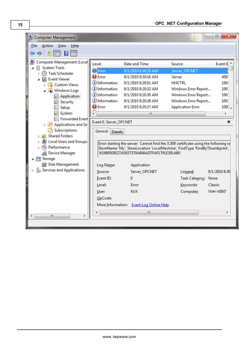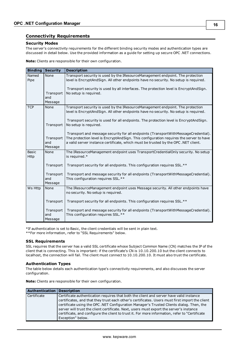# <span id="page-15-0"></span>**Connectivity Requirements**

## **Security Modes**

The server's connectivity requirements for the different binding security modes and authentication types are discussed in detail below. Use the provided information as a guide for setting up secure OPC .NET connections.

**Note:** Clients are responsible for their own configuration.

| <b>Binding</b>              | <b>Security</b>             | <b>Description</b>                                                                                                                                                                                                                                                 |
|-----------------------------|-----------------------------|--------------------------------------------------------------------------------------------------------------------------------------------------------------------------------------------------------------------------------------------------------------------|
| Named<br>Pipe               | None                        | Transport security is used by the IResourceManagement endpoint. The protection<br>level is EncryptAndSign. All other endpoints have no security. No setup is required.                                                                                             |
|                             | Transport<br>and<br>Message | Transport security is used by all interfaces. The protection level is EncryptAndSign.<br>No setup is required.                                                                                                                                                     |
| <b>TCP</b>                  | None                        | Transport security is used by the IResourceManagement endpoint. The protection<br>level is EncryptAndSign. All other endpoints have no security. No setup is required.                                                                                             |
|                             | Transport                   | Transport security is used for all endpoints. The protection level is EncryptAndSign.<br>No setup is required.                                                                                                                                                     |
|                             | Transport<br>and<br>Message | Transport and message security for all endpoints (TransportWithMessageCredential).<br>The protection level is EncryptAndSign. This configuration requires the server to have<br>a valid server instance certificate, which must be trusted by the OPC .NET client. |
| <b>Basic</b><br><b>Http</b> | None                        | The IResourceManagement endpoint uses TransportCredentialOnly security. No setup<br>is required.*                                                                                                                                                                  |
|                             | Transport                   | Transport security for all endpoints. This configuration requires SSL.**                                                                                                                                                                                           |
|                             | Transport<br>and<br>Message | Transport and message security for all endpoints (TransportWithMessageCredential).<br>This configuration requires SSL.**                                                                                                                                           |
| Ws Http                     | None                        | The IResourceManagement endpoint uses Message security. All other endpoints have<br>no security. No setup is required.                                                                                                                                             |
|                             | Transport                   | Transport security for all endpoints. This configuration requires SSL.**                                                                                                                                                                                           |
|                             | Transport<br>and<br>Message | Transport and message security for all endpoints (TransportWithMessageCredential).<br>This configuration requires SSL.**                                                                                                                                           |

\*If authentication is set to Basic, the client credentials will be sent in plain text.

\*\*For more information, refer to "SSL Requirements" below.

#### **SSL Requirements**

SSL requires that the server has a valid SSL certificate whose Subject Common Name (CN) matches the IP of the client that is connecting. This is important: if the certificate's CN is 10.10.200.10 but the client connects to localhost, the connection will fail. The client must connect to 10.10.200.10. It must also trust the certificate.

# **Authentication Types**

The table below details each authentication type's connectivity requirements, and also discusses the server configuration.

**Note:** Clients are responsible for their own configuration.

| Authentication | <b>Description</b>                                                                                                                                                                                                                                                                                                                                                                                                                                                                                       |
|----------------|----------------------------------------------------------------------------------------------------------------------------------------------------------------------------------------------------------------------------------------------------------------------------------------------------------------------------------------------------------------------------------------------------------------------------------------------------------------------------------------------------------|
| Certificate    | Certificate authentication requires that both the client and server have valid instance<br>certificates, and that they trust each other's certificates. Users must first import the client<br>certificate using the OPC .NET Configuration Manager's Trusted Clients dialog. Then, the<br>server will trust the client certificate. Next, users must export the server's instance<br>certificate, and configure the client to trust it. For more information, refer to "Certificate<br>Exception" below. |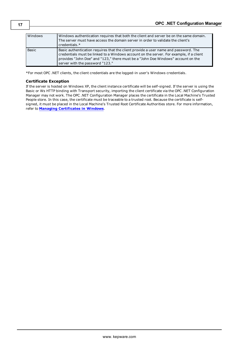| Windows      | Windows authentication requires that both the client and server be on the same domain.<br>The server must have access the domain server in order to validate the client's<br>credentials.*                                                                                                            |
|--------------|-------------------------------------------------------------------------------------------------------------------------------------------------------------------------------------------------------------------------------------------------------------------------------------------------------|
| <b>Basic</b> | Basic authentication requires that the client provide a user name and password. The<br>credentials must be linked to a Windows account on the server. For example, if a client<br>provides "John Doe" and "123," there must be a "John Doe Windows" account on the<br>server with the password "123." |

\*For most OPC .NET clients, the client credentials are the logged-in user's Windows credentials.

#### **Certificate Exception**

If the server is hosted on Windows XP, the client instance certificate will be self-signed. If the server is using the Basic or Ws HTTP binding with Transport security, importing the client certificate via the OPC .NET Configuration Manager may not work. The OPC .NET Configuration Manager places the certificate in the Local Machine's Trusted People store. In this case, the certificate must be traceable to a trusted root. Because the certificate is selfsigned, it must be placed in the Local Machine's Trusted Root Certificate Authorities store. For more information, refer to **Managing [Certificates](#page-18-0) in Windows**.

**17**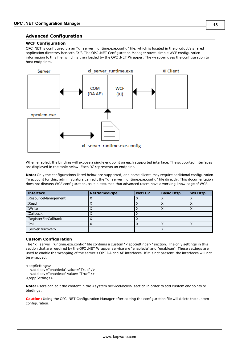# <span id="page-17-0"></span>**Advanced Configuration**

### **WCF Configuration**

OPC .NET is configured via an "xi\_server\_runtime.exe.config" file, which is located in the product's shared application directory beneath "Xi". The OPC .NET Configuration Manager saves simple WCF configuration information to this file, which is then loaded by the OPC .NET Wrapper. The wrapper uses the configuration to host endpoints.



When enabled, the binding will expose a single endpoint on each supported interface. The supported interfaces are displayed in the table below. Each 'X' represents an endpoint.

**Note:** Only the configurations listed below are supported, and some clients may require additional configuration. To account for this, administrators can edit the "xi\_server\_runtime.exe.config" file directly. This documentation does not discuss WCF configuration, as it is assumed that advanced users have a working knowledge of WCF.

| Interface                   | <b>NetNamedPipe</b> | <b>NetTCP</b> | <b>Basic Http</b> | <b>Ws Http</b> |
|-----------------------------|---------------------|---------------|-------------------|----------------|
| <b>IResourceManagement</b>  |                     |               |                   |                |
| IRead                       |                     |               |                   |                |
| IWrite                      |                     |               |                   |                |
| ICallback                   |                     |               |                   |                |
| <b>IRegisterForCallback</b> |                     |               |                   |                |
| <b>IPoll</b>                | ↗                   | $\lambda$     |                   |                |
| <b>IServerDiscovery</b>     |                     |               |                   |                |

## **Custom Configuration**

The "xi\_server\_runtime.exe.config" file contains a custom "<appSettings>" section. The only settings in this section that are required by the OPC .NET Wrapper service are "enableda" and "enableae". These settings are used to enable the wrapping of the server's OPC DA and AE interfaces. If it is not present, the interfaces will not be wrapped.

```
<appSettings>
  <add key="enableda" value="True" />
  <add key="enableae" value="True" />
</appSettings>
```
**Note:** Users can edit the content in the <system.serviceModel> section in order to add custom endpoints or bindings.

**Caution:** Using the OPC .NET Configuration Manager after editing the configuration file will delete the custom configuration.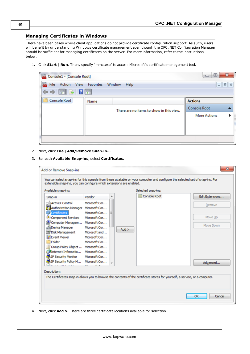# <span id="page-18-0"></span>**Managing Certificates in Windows**

There have been cases where client applications do not provide certificate configuration support. As such, users will benefit by understanding Windows certificate management even though the OPC .NET Configuration Manager should be sufficient for managing certificates on the server. For more information, refer to the instructions below.

1. Click **Start** | **Run**. Then, specify "mmc.exe" to access Microsoft's certificate management tool.

| Console1 - [Console Root]                                           |                                          | x<br>$\Box$<br>$\overline{\phantom{0}}$ |
|---------------------------------------------------------------------|------------------------------------------|-----------------------------------------|
| Action View Favorites<br>File                                       | Window<br>Help                           | $ F$<br>$\times$                        |
| $\Leftrightarrow$ $\Leftrightarrow$ $\boxed{E}$ $B$ $T$ $\boxed{E}$ |                                          |                                         |
| <b>Console Root</b>                                                 | Name                                     | <b>Actions</b>                          |
|                                                                     | There are no items to show in this view. | <b>Console Root</b>                     |
|                                                                     |                                          | <b>More Actions</b>                     |
|                                                                     |                                          |                                         |
|                                                                     |                                          |                                         |
|                                                                     |                                          |                                         |

- 2. Next, click **File** | **Add/Remove Snap-in…**.
- 3. Beneath **Available Snap-ins**, select **Certificates**.

|                                      | Vendor        |   |         | Console Root                                                                                                                 | Edit Extensions |
|--------------------------------------|---------------|---|---------|------------------------------------------------------------------------------------------------------------------------------|-----------------|
| Snap-in                              |               |   |         |                                                                                                                              |                 |
| enin ActiveX Control                 | Microsoft Cor |   |         |                                                                                                                              | Remove          |
| Authorization Manager Microsoft Cor  |               |   |         |                                                                                                                              |                 |
| <b>Certificates</b>                  | Microsoft Cor | Ξ |         |                                                                                                                              |                 |
| Component Services                   | Microsoft Cor |   |         |                                                                                                                              | Move Up         |
| Computer Managem                     | Microsoft Cor |   |         |                                                                                                                              | Move Down       |
| <b>Device Manager</b>                | Microsoft Cor |   | $Add$ > |                                                                                                                              |                 |
| Disk Management                      | Microsoft and |   |         |                                                                                                                              |                 |
| <b>Event Viewer</b>                  | Microsoft Cor |   |         |                                                                                                                              |                 |
| Folder                               | Microsoft Cor |   |         |                                                                                                                              |                 |
| Group Policy Object  Microsoft Cor   |               |   |         |                                                                                                                              |                 |
| <b>Executive</b> Informatio          | Microsoft Cor |   |         |                                                                                                                              |                 |
| <b>D</b> IP Security Monitor         | Microsoft Cor |   |         |                                                                                                                              |                 |
| 見 IP Security Policy M Microsoft Cor |               |   |         |                                                                                                                              | Advanced        |
|                                      |               |   |         |                                                                                                                              |                 |
| Description:                         |               |   |         |                                                                                                                              |                 |
|                                      |               |   |         | The Certificates snap-in allows you to browse the contents of the certificate stores for yourself, a service, or a computer. |                 |

4. Next, click **Add >**. There are three certificate locations available for selection.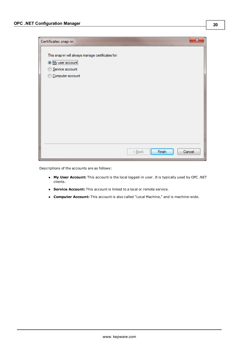

Descriptions of the accounts are as follows:

- l **My User Account:** This account is the local logged-in user. It is typically used by OPC .NET clients.
- **Service Account:** This account is linked to a local or remote service.
- **Computer Account:** This account is also called "Local Machine," and is machine-wide.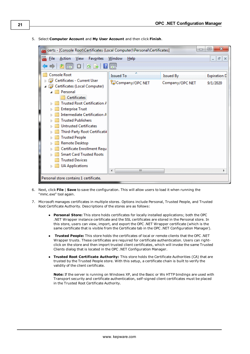

5. Select **Computer Account** and **My User Account** and then click **Finish**.

- 6. Next, click **File** | **Save** to save the configuration. This will allow users to load it when running the "mmc.exe" tool again.
- 7. Microsoft manages certificates in multiple stores. Options include Personal, Trusted People, and Trusted Root Certificate Authority. Descriptions of the stores are as follows:
	- l **Personal Store:** This store holds certificates for locally installed applications; both the OPC .NET Wrapper instance certificate and the SSL certificates are stored in the Personal store. In this store, users can view, import, and export the OPC .NET Wrapper certificate (which is the same certificate that is visible from the Certificate tab in the OPC .NET Configuration Manager).
	- l **Trusted People:** This store holds the certificates of local or remote clients that the OPC .NET Wrapper trusts. These certificates are required for certificate authentication. Users can rightclick on the store and then import trusted client certificates, which will invoke the same Trusted Clients dialog that is located in the OPC .NET Configuration Manager.
	- l **Trusted Root Certificate Authority:** This store holds the Certificate Authorities (CA) that are trusted by the Trusted People store. With this setup, a certificate chain is built to verify the validity of the client certificate.

**Note:** If the server is running on Windows XP, and the Basic or Ws HTTP bindings are used with Transport security and certificate authentication, self-signed client certificates must be placed in the Trusted Root Certificate Authority.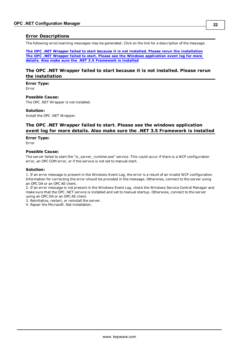# <span id="page-21-0"></span>**Error Descriptions**

The following error/warning messages may be generated. Click on the link for a description of the message.

**The OPC .NET Wrapper failed to start because it is not installed. Please rerun the [installation](#page-21-1) The OPC .NET Wrapper failed to start. Please see the Windows application event log for more details. Also make sure the .NET 3.5 [Framework](#page-21-2) is installed**

# <span id="page-21-1"></span>**The OPC .NET Wrapper failed to start because it is not installed. Please rerun the installation**

**Error Type:**

Error

**Possible Cause:**

The OPC .NET Wrapper is not installed.

#### **Solution:**

<span id="page-21-2"></span>Install the OPC .NET Wrapper.

# **The OPC .NET Wrapper failed to start. Please see the windows application event log for more details. Also make sure the .NET 3.5 Framework is installed**

#### **Error Type:**

Error

## **Possible Cause:**

The server failed to start the "xi\_server\_runtime.exe" service. This could occur if there is a WCF configuration error, an OPC COM error, or if the service is not set to manual start.

#### **Solution:**

1. If an error message is present in the Windows Event Log, the error is a result of an invalid WCF configuration. Information for correcting the error should be provided in the message. Otherwise, connect to the server using an OPC DA or an OPC AE client.

2. If an error message is not present in the Windows Event Log, check the Windows Service Control Manager and make sure that the OPC .NET service is installed and set to manual startup. Otherwise, connect to the server using an OPC DA or an OPC AE client.

3. Reinitialize, restart, or reinstall the server.

4. Repair the Microsoft .Net installation.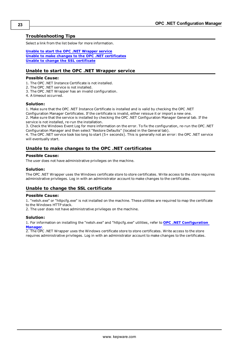# <span id="page-22-0"></span>**Troubleshooting Tips**

Select a link from the list below for more information.

**Unable to start the OPC .NET [Wrapper](#page-22-1) service Unable to make changes to the OPC .NET [certificates](#page-22-2) Unable to change the SSL [certificate](#page-22-3)**

## <span id="page-22-1"></span>**Unable to start the OPC .NET Wrapper service**

#### **Possible Cause:**

- 1. The OPC .NET Instance Certificate is not installed.
- 2. The OPC .NET service is not installed.
- 3. The OPC .NET Wrapper has an invalid configuration.
- 4. A timeout occurred.

#### **Solution:**

1. Make sure that the OPC .NET Instance Certificate is installed and is valid by checking the OPC .NET

Configuration Manager Certificates. If the certificate is invalid, either reissue it or import a new one. 2. Make sure that the service is installed by checking the OPC .NET Configuration Manager General tab. If the service is not installed, re-run the installation.

3. Check the Windows Event Log for more information on the error. To fix the configuration, re-run the OPC .NET Configuration Manager and then select "Restore Defaults" (located in the General tab).

4. The OPC .NET service took too long to start (5+ seconds). This is generally not an error: the OPC .NET service will eventually start.

## <span id="page-22-2"></span>**Unable to make changes to the OPC .NET certificates**

#### **Possible Cause:**

The user does not have administrative privileges on the machine.

#### **Solution:**

The OPC .NET Wrapper uses the Windows certificate store to store certificates. Write access to the store requires administrative privileges. Log in with an administrator account to make changes to the certificates.

## <span id="page-22-3"></span>**Unable to change the SSL certificate**

#### **Possible Cause:**

1. "netsh.exe" or "httpcfg.exe" is not installed on the machine. These utilities are required to map the certificate to the Windows HTTP stack.

2. The user does not have administrative privileges on the machine.

#### **Solution:**

1. For information on installing the "netsh.exe" and "httpcfg.exe" utilities, refer to **OPC .NET [Configuration](#page-4-0) Manager**.

2. The OPC .NET Wrapper uses the Windows certificate store to store certificates. Write access to the store requires administrative privileges. Log in with an administrator account to make changes to the certificates.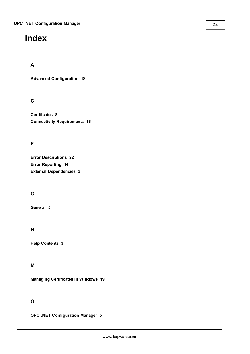# <span id="page-23-0"></span>**Index**

# **A**

**Advanced Configuration [18](#page-17-0)**

# **C**

**Certificates [8](#page-7-0) Connectivity Requirements [16](#page-15-0)**

# **E**

**Error Descriptions [22](#page-21-0) Error Reporting [14](#page-13-0) External Dependencies [3](#page-2-2)**

# **G**

**General [5](#page-4-1)**

# **H**

**Help Contents [3](#page-2-0)**

# **M**

**Managing Certificates in Windows [19](#page-18-0)**

# **O**

**OPC .NET Configuration Manager [5](#page-4-0)**